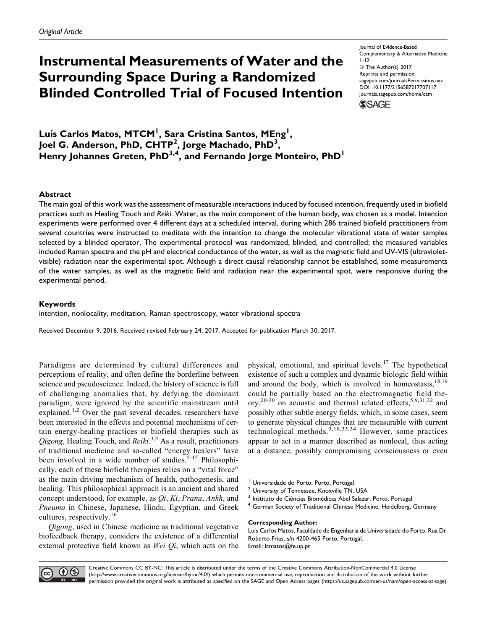# Instrumental Measurements of Water and the Surrounding Space During a Randomized Blinded Controlled Trial of Focused Intention

Journal of Evidence-Based Complementary & Alternative Medicine 1-12 © The Author(s) 2017 Reprints and permission: [sagepub.com/journalsPermissions.nav](https://us.sagepub.com/en-us/journals-permissions) [DOI: 10.1177/2156587217707117](https://doi.org/10.1177/2156587217707117) [journals.sagepub.com/home/cam](http://journals.sagepub.com/home/chp)

**SSAGE** 

Luís Carlos Matos, MTCM<sup>I</sup>, Sara Cristina Santos, MEng<sup>I</sup>, Joel G. Anderson, PhD, CHTP<sup>2</sup>, Jorge Machado, PhD<sup>3</sup>, Henry Johannes Greten, PhD<sup>3,4</sup>, and Fernando Jorge Monteiro, PhD<sup>1</sup>

## Abstract

The main goal of this work was the assessment of measurable interactions induced by focused intention, frequently used in biofield practices such as Healing Touch and Reiki. Water, as the main component of the human body, was chosen as a model. Intention experiments were performed over 4 different days at a scheduled interval, during which 286 trained biofield practitioners from several countries were instructed to meditate with the intention to change the molecular vibrational state of water samples selected by a blinded operator. The experimental protocol was randomized, blinded, and controlled; the measured variables included Raman spectra and the pH and electrical conductance of the water, as well as the magnetic field and UV-VIS (ultravioletvisible) radiation near the experimental spot. Although a direct causal relationship cannot be established, some measurements of the water samples, as well as the magnetic field and radiation near the experimental spot, were responsive during the experimental period.

## Keywords

intention, nonlocality, meditation, Raman spectroscopy, water vibrational spectra

Received December 9, 2016. Received revised February 24, 2017. Accepted for publication March 30, 2017.

Paradigms are determined by cultural differences and perceptions of reality, and often define the borderline between science and pseudoscience. Indeed, the history of science is full of challenging anomalies that, by defying the dominant paradigm, were ignored by the scientific mainstream until explained.<sup>1,2</sup> Over the past several decades, researchers have been interested in the effects and potential mechanisms of certain energy-healing practices or biofield therapies such as Qigong, Healing Touch, and Reiki.<sup>3,4</sup> As a result, practitioners of traditional medicine and so-called "energy healers" have been involved in a wide number of studies.<sup>5-15</sup> Philosophically, each of these biofield therapies relies on a "vital force" as the main driving mechanism of health, pathogenesis, and healing. This philosophical approach is an ancient and shared concept understood, for example, as Qi, Ki, Prana, Ankh, and Pneuma in Chinese, Japanese, Hindu, Egyptian, and Greek cultures, respectively.<sup>16</sup>

Qigong, used in Chinese medicine as traditional vegetative biofeedback therapy, considers the existence of a differential external protective field known as  $Wei$   $Qi$ , which acts on the physical, emotional, and spiritual levels.<sup>17</sup> The hypothetical existence of such a complex and dynamic biologic field within and around the body, which is involved in homeostasis,  $18,19$ could be partially based on the electromagnetic field theory,<sup>20-30</sup> on acoustic and thermal related effects,<sup>5,9,31,32</sup> and possibly other subtle energy fields, which, in some cases, seem to generate physical changes that are measurable with current technological methods.3,18,33,34 However, some practices appear to act in a manner described as nonlocal, thus acting at a distance, possibly compromising consciousness or even

- 
- <sup>2</sup> University of Tennessee, Knoxville TN, USA<br><sup>3</sup> Instituto de Ciências Biomédicas Abel Salazar, Porto, Portugal
- $^4$  German Society of Traditional Chinese Medicine, Heidelberg, Germany

#### Corresponding Author:

Luís Carlos Matos, Faculdade de Engenharia da Universidade do Porto, Rua Dr. Roberto Frias, s/n 4200-465 Porto, Portugal. Email: lcmatos@fe.up.pt



Creative Commons CC BY-NC: This article is distributed under the terms of the Creative Commons Attribution-NonCommercial 4.0 License (http://www.creativecommons.org/licenses/by-nc/4.0/) which permits non-commercial use, reproduction and distribution of the work without further permission provided the original work is attributed as specified on the SAGE and Open Access pages (https://us.sagepub.com/en-us/nam/open-access-at-sage).

Universidade do Porto, Porto, Portugal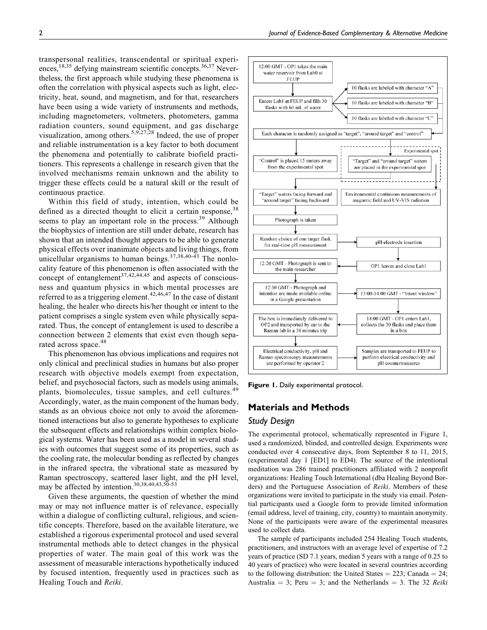transpersonal realities, transcendental or spiritual experiences,<sup>18,35</sup> defying mainstream scientific concepts.<sup>36,37</sup> Nevertheless, the first approach while studying these phenomena is often the correlation with physical aspects such as light, electricity, heat, sound, and magnetism, and for that, researchers have been using a wide variety of instruments and methods, including magnetometers, voltmeters, photometers, gamma radiation counters, sound equipment, and gas discharge visualization, among others.<sup>5,9,27,28</sup> Indeed, the use of proper and reliable instrumentation is a key factor to both document the phenomena and potentially to calibrate biofield practitioners. This represents a challenge in research given that the involved mechanisms remain unknown and the ability to trigger these effects could be a natural skill or the result of continuous practice.

Within this field of study, intention, which could be defined as a directed thought to elicit a certain response,  $38$ seems to play an important role in the process.<sup>39</sup> Although the biophysics of intention are still under debate, research has shown that an intended thought appears to be able to generate physical effects over inanimate objects and living things, from unicellular organisms to human beings. $37,38,40-43$  The nonlocality feature of this phenomenon is often associated with the concept of entanglement $37,42,44,45$  and aspects of consciousness and quantum physics in which mental processes are referred to as a triggering element.<sup> $42,46,47$ </sup> In the case of distant healing, the healer who directs his/her thought or intent to the patient comprises a single system even while physically separated. Thus, the concept of entanglement is used to describe a connection between 2 elements that exist even though separated across space.<sup>48</sup>

This phenomenon has obvious implications and requires not only clinical and preclinical studies in humans but also proper research with objective models exempt from expectation, belief, and psychosocial factors, such as models using animals, plants, biomolecules, tissue samples, and cell cultures.<sup>49</sup> Accordingly, water, as the main component of the human body, stands as an obvious choice not only to avoid the aforementioned interactions but also to generate hypotheses to explicate the subsequent effects and relationships within complex biological systems. Water has been used as a model in several studies with outcomes that suggest some of its properties, such as the cooling rate, the molecular bonding as reflected by changes in the infrared spectra, the vibrational state as measured by Raman spectroscopy, scattered laser light, and the pH level, may be affected by intention.<sup>30,38,40,43,50-53</sup>

Given these arguments, the question of whether the mind may or may not influence matter is of relevance, especially within a dialogue of conflicting cultural, religious, and scientific concepts. Therefore, based on the available literature, we established a rigorous experimental protocol and used several instrumental methods able to detect changes in the physical properties of water. The main goal of this work was the assessment of measurable interactions hypothetically induced by focused intention, frequently used in practices such as Healing Touch and Reiki.



Figure 1. Daily experimental protocol.

## Materials and Methods

## Study Design

The experimental protocol, schematically represented in Figure 1, used a randomized, blinded, and controlled design. Experiments were conducted over 4 consecutive days, from September 8 to 11, 2015, (experimental day 1 [ED1] to ED4). The source of the intentional meditation was 286 trained practitioners affiliated with 2 nonprofit organizations: Healing Touch International (dba Healing Beyond Borders) and the Portuguese Association of Reiki. Members of these organizations were invited to participate in the study via email. Potential participants used a Google form to provide limited information (email address, level of training, city, country) to maintain anonymity. None of the participants were aware of the experimental measures used to collect data.

The sample of participants included 254 Healing Touch students, practitioners, and instructors with an average level of expertise of 7.2 years of practice (SD 7.1 years, median 5 years with a range of 0.25 to 40 years of practice) who were located in several countries according to the following distribution: the United States  $= 223$ ; Canada  $= 24$ ; Australia = 3; Peru = 3; and the Netherlands = 3. The 32 Reiki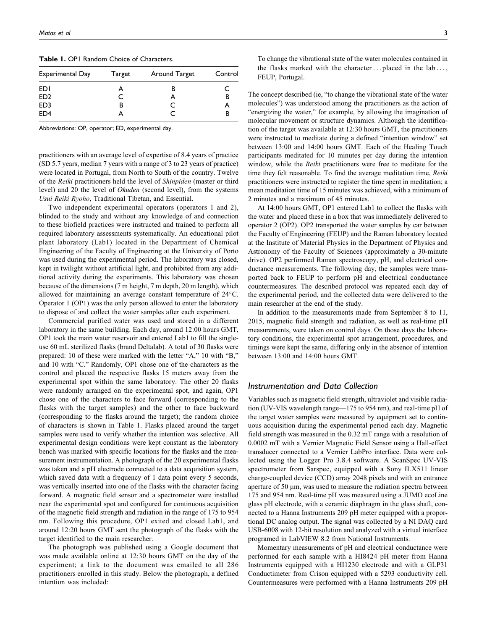Table 1. OP1 Random Choice of Characters.

| <b>Experimental Day</b> | Target | Around Target | Control |  |
|-------------------------|--------|---------------|---------|--|
| EDI                     |        | В             |         |  |
| ED <sub>2</sub>         |        |               | В       |  |
| ED <sub>3</sub>         | в      |               |         |  |
| FD <sub>4</sub>         |        |               | B       |  |

Abbreviations: OP, operator; ED, experimental day.

practitioners with an average level of expertise of 8.4 years of practice (SD 5.7 years, median 7 years with a range of 3 to 23 years of practice) were located in Portugal, from North to South of the country. Twelve of the Reiki practitioners held the level of Shinpiden (master or third level) and 20 the level of Okuden (second level), from the systems Usui Reiki Ryoho, Traditional Tibetan, and Essential.

Two independent experimental operators (operators 1 and 2), blinded to the study and without any knowledge of and connection to these biofield practices were instructed and trained to perform all required laboratory assessments systematically. An educational pilot plant laboratory (Lab1) located in the Department of Chemical Engineering of the Faculty of Engineering at the University of Porto was used during the experimental period. The laboratory was closed, kept in twilight without artificial light, and prohibited from any additional activity during the experiments. This laboratory was chosen because of the dimensions (7 m height, 7 m depth, 20 m length), which allowed for maintaining an average constant temperature of  $24^{\circ}$ C. Operator 1 (OP1) was the only person allowed to enter the laboratory to dispose of and collect the water samples after each experiment.

Commercial purified water was used and stored in a different laboratory in the same building. Each day, around 12:00 hours GMT, OP1 took the main water reservoir and entered Lab1 to fill the singleuse 60 mL sterilized flasks (brand Deltalab). A total of 30 flasks were prepared: 10 of these were marked with the letter "A," 10 with "B," and 10 with "C." Randomly, OP1 chose one of the characters as the control and placed the respective flasks 15 meters away from the experimental spot within the same laboratory. The other 20 flasks were randomly arranged on the experimental spot, and again, OP1 chose one of the characters to face forward (corresponding to the flasks with the target samples) and the other to face backward (corresponding to the flasks around the target); the random choice of characters is shown in Table 1. Flasks placed around the target samples were used to verify whether the intention was selective. All experimental design conditions were kept constant as the laboratory bench was marked with specific locations for the flasks and the measurement instrumentation. A photograph of the 20 experimental flasks was taken and a pH electrode connected to a data acquisition system, which saved data with a frequency of 1 data point every 5 seconds, was vertically inserted into one of the flasks with the character facing forward. A magnetic field sensor and a spectrometer were installed near the experimental spot and configured for continuous acquisition of the magnetic field strength and radiation in the range of 175 to 954 nm. Following this procedure, OP1 exited and closed Lab1, and around 12:20 hours GMT sent the photograph of the flasks with the target identified to the main researcher.

The photograph was published using a Google document that was made available online at 12:30 hours GMT on the day of the experiment; a link to the document was emailed to all 286 practitioners enrolled in this study. Below the photograph, a defined intention was included:

The concept described (ie, "to change the vibrational state of the water molecules") was understood among the practitioners as the action of "energizing the water," for example, by allowing the imagination of molecular movement or structure dynamics. Although the identification of the target was available at 12:30 hours GMT, the practitioners were instructed to meditate during a defined "intention window" set between 13:00 and 14:00 hours GMT. Each of the Healing Touch participants meditated for 10 minutes per day during the intention window, while the Reiki practitioners were free to meditate for the time they felt reasonable. To find the average meditation time, Reiki practitioners were instructed to register the time spent in meditation; a mean meditation time of 15 minutes was achieved, with a minimum of 2 minutes and a maximum of 45 minutes.

At 14:00 hours GMT, OP1 entered Lab1 to collect the flasks with the water and placed these in a box that was immediately delivered to operator 2 (OP2). OP2 transported the water samples by car between the Faculty of Engineering (FEUP) and the Raman laboratory located at the Institute of Material Physics in the Department of Physics and Astronomy of the Faculty of Sciences (approximately a 30-minute drive). OP2 performed Raman spectroscopy, pH, and electrical conductance measurements. The following day, the samples were transported back to FEUP to perform pH and electrical conductance countermeasures. The described protocol was repeated each day of the experimental period, and the collected data were delivered to the main researcher at the end of the study.

In addition to the measurements made from September 8 to 11, 2015, magnetic field strength and radiation, as well as real-time pH measurements, were taken on control days. On those days the laboratory conditions, the experimental spot arrangement, procedures, and timings were kept the same, differing only in the absence of intention between 13:00 and 14:00 hours GMT.

#### Instrumentation and Data Collection

Variables such as magnetic field strength, ultraviolet and visible radiation (UV-VIS wavelength range—175 to 954 nm), and real-time pH of the target water samples were measured by equipment set to continuous acquisition during the experimental period each day. Magnetic field strength was measured in the 0.32 mT range with a resolution of 0.0002 mT with a Vernier Magnetic Field Sensor using a Hall-effect transducer connected to a Vernier LabPro interface. Data were collected using the Logger Pro 3.8.4 software. A ScanSpec UV-VIS spectrometer from Sarspec, equipped with a Sony ILX511 linear charge-coupled device (CCD) array 2048 pixels and with an entrance aperture of 50  $\mu$ m, was used to measure the radiation spectra between 175 and 954 nm. Real-time pH was measured using a JUMO ecoLine glass pH electrode, with a ceramic diaphragm in the glass shaft, connected to a Hanna Instruments 209 pH meter equipped with a proportional DC analog output. The signal was collected by a NI DAQ card USB-6008 with 12-bit resolution and analyzed with a virtual interface programed in LabVIEW 8.2 from National Instruments.

Momentary measurements of pH and electrical conductance were performed for each sample with a HI8424 pH meter from Hanna Instruments equipped with a HI1230 electrode and with a GLP31 Conductimeter from Crison equipped with a 5293 conductivity cell. Countermeasures were performed with a Hanna Instruments 209 pH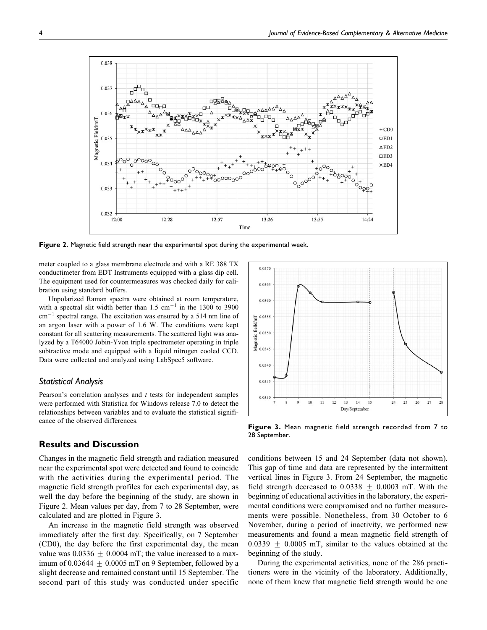

Figure 2. Magnetic field strength near the experimental spot during the experimental week.

meter coupled to a glass membrane electrode and with a RE 388 TX conductimeter from EDT Instruments equipped with a glass dip cell. The equipment used for countermeasures was checked daily for calibration using standard buffers.

Unpolarized Raman spectra were obtained at room temperature, with a spectral slit width better than  $1.5 \text{ cm}^{-1}$  in the 1300 to 3900  $cm^{-1}$  spectral range. The excitation was ensured by a 514 nm line of an argon laser with a power of 1.6 W. The conditions were kept constant for all scattering measurements. The scattered light was analyzed by a T64000 Jobin-Yvon triple spectrometer operating in triple subtractive mode and equipped with a liquid nitrogen cooled CCD. Data were collected and analyzed using LabSpec5 software.

## Statistical Analysis

Pearson's correlation analyses and  $t$  tests for independent samples were performed with Statistica for Windows release 7.0 to detect the relationships between variables and to evaluate the statistical significance of the observed differences.

## Results and Discussion

Changes in the magnetic field strength and radiation measured near the experimental spot were detected and found to coincide with the activities during the experimental period. The magnetic field strength profiles for each experimental day, as well the day before the beginning of the study, are shown in Figure 2. Mean values per day, from 7 to 28 September, were calculated and are plotted in Figure 3.

An increase in the magnetic field strength was observed immediately after the first day. Specifically, on 7 September (CD0), the day before the first experimental day, the mean value was  $0.0336 \pm 0.0004$  mT; the value increased to a maximum of 0.03644  $\pm$  0.0005 mT on 9 September, followed by a slight decrease and remained constant until 15 September. The second part of this study was conducted under specific



Figure 3. Mean magnetic field strength recorded from 7 to 28 September.

conditions between 15 and 24 September (data not shown). This gap of time and data are represented by the intermittent vertical lines in Figure 3. From 24 September, the magnetic field strength decreased to  $0.0338 + 0.0003$  mT. With the beginning of educational activities in the laboratory, the experimental conditions were compromised and no further measurements were possible. Nonetheless, from 30 October to 6 November, during a period of inactivity, we performed new measurements and found a mean magnetic field strength of  $0.0339 + 0.0005$  mT, similar to the values obtained at the beginning of the study.

During the experimental activities, none of the 286 practitioners were in the vicinity of the laboratory. Additionally, none of them knew that magnetic field strength would be one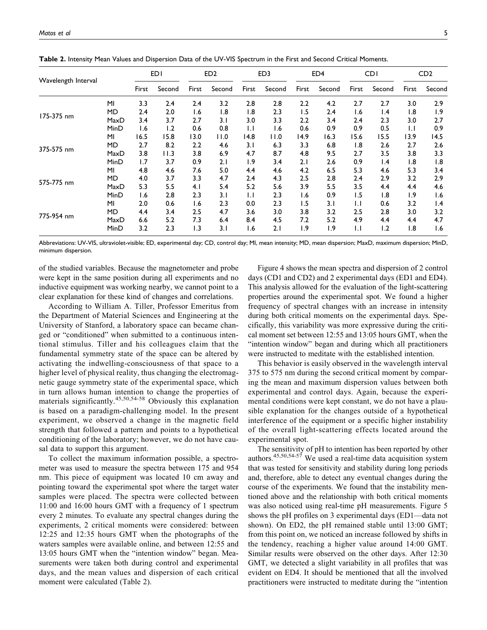|                     |      | <b>EDI</b> |        | ED <sub>2</sub> |        | ED <sub>3</sub> |        | ED <sub>4</sub> |        | <b>CDI</b>   |                 | CD2   |        |
|---------------------|------|------------|--------|-----------------|--------|-----------------|--------|-----------------|--------|--------------|-----------------|-------|--------|
| Wavelength Interval |      | First      | Second | First           | Second | First           | Second | First           | Second | First        | Second          | First | Second |
|                     | MI   | 3.3        | 2.4    | 2.4             | 3.2    | 2.8             | 2.8    | 2.2             | 4.2    | 2.7          | 2.7             | 3.0   | 2.9    |
|                     | MD   | 2.4        | 2.0    | 1.6             | 1.8    | 1.8             | 2.3    | 1.5             | 2.4    | 1.6          | $\mathsf{I}$ .4 | 1.8   | 1.9    |
| 175-375 nm          | MaxD | 3.4        | 3.7    | 2.7             | 3.1    | 3.0             | 3.3    | 2.2             | 3.4    | 2.4          | 2.3             | 3.0   | 2.7    |
|                     | MinD | 1.6        | 1.2    | 0.6             | 0.8    | $\mathsf{L}$    | 1.6    | 0.6             | 0.9    | 0.9          | 0.5             | LI.   | 0.9    |
|                     | MI   | 16.5       | 15.8   | 13.0            | 11.0   | 14.8            | 11.0   | 14.9            | 16.3   | 15.6         | 15.5            | 13.9  | 14.5   |
|                     | MD   | 2.7        | 8.2    | 2.2             | 4.6    | 3.1             | 6.3    | 3.3             | 6.8    | 1.8          | 2.6             | 2.7   | 2.6    |
| 375-575 nm          | MaxD | 3.8        | 11.3   | 3.8             | 6.9    | 4.7             | 8.7    | 4.8             | 9.5    | 2.7          | 3.5             | 3.8   | 3.3    |
|                     | MinD | 1.7        | 3.7    | 0.9             | 2.1    | 1.9             | 3.4    | 2.1             | 2.6    | 0.9          | 1.4             | 1.8   | 1.8    |
|                     | MI   | 4.8        | 4.6    | 7.6             | 5.0    | 4.4             | 4.6    | 4.2             | 6.5    | 5.3          | 4.6             | 5.3   | 3.4    |
|                     | MD   | 4.0        | 3.7    | 3.3             | 4.7    | 2.4             | 4.3    | 2.5             | 2.8    | 2.4          | 2.9             | 3.2   | 2.9    |
| 575-775 nm          | MaxD | 5.3        | 5.5    | 4.1             | 5.4    | 5.2             | 5.6    | 3.9             | 5.5    | 3.5          | 4.4             | 4.4   | 4.6    |
|                     | MinD | 1.6        | 2.8    | 2.3             | 3.1    | $\mathsf{L}$    | 2.3    | 1.6             | 0.9    | 1.5          | 1.8             | و. ا  | 6. ا   |
|                     | MI   | 2.0        | 0.6    | 1.6             | 2.3    | 0.0             | 2.3    | 1.5             | 3.1    | IJ           | 0.6             | 3.2   | 1.4    |
|                     | MD   | 4.4        | 3.4    | 2.5             | 4.7    | 3.6             | 3.0    | 3.8             | 3.2    | 2.5          | 2.8             | 3.0   | 3.2    |
| 775-954 nm          | MaxD | 6.6        | 5.2    | 7.3             | 6.4    | 8.4             | 4.5    | 7.2             | 5.2    | 4.9          | 4.4             | 4.4   | 4.7    |
|                     | MinD | 3.2        | 2.3    | 1.3             | 3.1    | 1.6             | 2.1    | 1.9             | و. ا   | $\mathsf{L}$ | 1.2             | 8. ا  | 1.6    |

Table 2. Intensity Mean Values and Dispersion Data of the UV-VIS Spectrum in the First and Second Critical Moments.

Abbreviations: UV-VIS, ultraviolet-visible; ED, experimental day; CD, control day; MI, mean intensity; MD, mean dispersion; MaxD, maximum dispersion; MinD, minimum dispersion.

of the studied variables. Because the magnetometer and probe were kept in the same position during all experiments and no inductive equipment was working nearby, we cannot point to a clear explanation for these kind of changes and correlations.

According to William A. Tiller, Professor Emeritus from the Department of Material Sciences and Engineering at the University of Stanford, a laboratory space can became changed or "conditioned" when submitted to a continuous intentional stimulus. Tiller and his colleagues claim that the fundamental symmetry state of the space can be altered by activating the indwelling-consciousness of that space to a higher level of physical reality, thus changing the electromagnetic gauge symmetry state of the experimental space, which in turn allows human intention to change the properties of materials significantly.45,50,54-58 Obviously this explanation is based on a paradigm-challenging model. In the present experiment, we observed a change in the magnetic field strength that followed a pattern and points to a hypothetical conditioning of the laboratory; however, we do not have causal data to support this argument.

To collect the maximum information possible, a spectrometer was used to measure the spectra between 175 and 954 nm. This piece of equipment was located 10 cm away and pointing toward the experimental spot where the target water samples were placed. The spectra were collected between 11:00 and 16:00 hours GMT with a frequency of 1 spectrum every 2 minutes. To evaluate any spectral changes during the experiments, 2 critical moments were considered: between 12:25 and 12:35 hours GMT when the photographs of the waters samples were available online, and between 12:55 and 13:05 hours GMT when the "intention window" began. Measurements were taken both during control and experimental days, and the mean values and dispersion of each critical moment were calculated (Table 2).

Figure 4 shows the mean spectra and dispersion of 2 control days (CD1 and CD2) and 2 experimental days (ED1 and ED4). This analysis allowed for the evaluation of the light-scattering properties around the experimental spot. We found a higher frequency of spectral changes with an increase in intensity during both critical moments on the experimental days. Specifically, this variability was more expressive during the critical moment set between 12:55 and 13:05 hours GMT, when the "intention window" began and during which all practitioners were instructed to meditate with the established intention.

This behavior is easily observed in the wavelength interval 375 to 575 nm during the second critical moment by comparing the mean and maximum dispersion values between both experimental and control days. Again, because the experimental conditions were kept constant, we do not have a plausible explanation for the changes outside of a hypothetical interference of the equipment or a specific higher instability of the overall light-scattering effects located around the experimental spot.

The sensitivity of pH to intention has been reported by other authors.45,50,54-57 We used a real-time data acquisition system that was tested for sensitivity and stability during long periods and, therefore, able to detect any eventual changes during the course of the experiments. We found that the instability mentioned above and the relationship with both critical moments was also noticed using real-time pH measurements. Figure 5 shows the pH profiles on 3 experimental days (ED1—data not shown). On ED2, the pH remained stable until 13:00 GMT; from this point on, we noticed an increase followed by shifts in the tendency, reaching a higher value around 14:00 GMT. Similar results were observed on the other days. After 12:30 GMT, we detected a slight variability in all profiles that was evident on ED4. It should be mentioned that all the involved practitioners were instructed to meditate during the "intention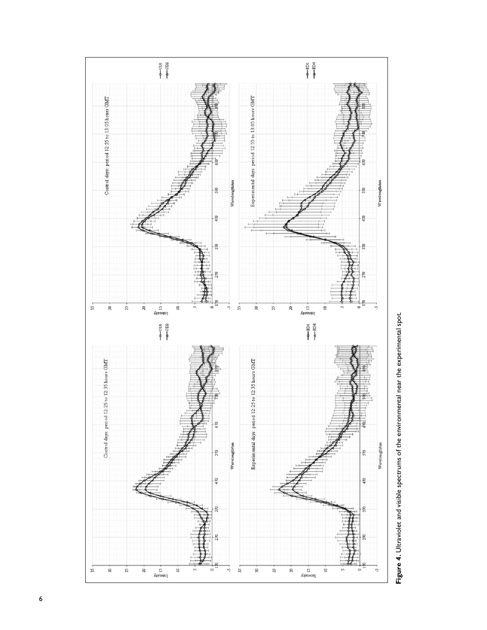

Figure 4. Ultraviolet and visible spectrums of the environmental near the experimental spot. Figure 4. Ultraviolet and visible spectrums of the environmental near the experimental spot.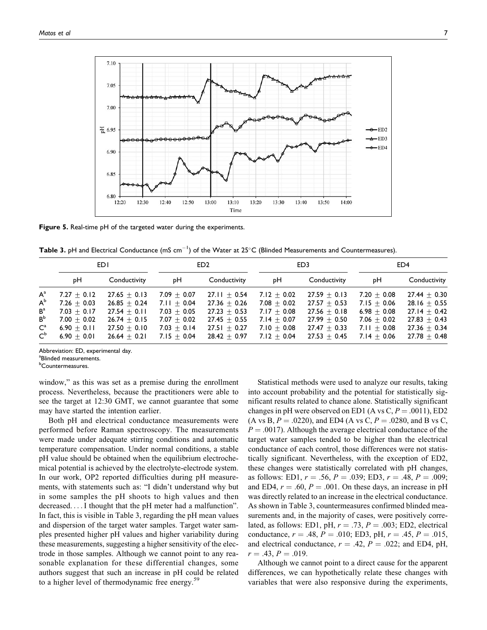

Figure 5. Real-time pH of the targeted water during the experiments.

 ${\sf Table~3.}$  pH and Electrical Conductance (mS cm $^{-1})$  of the Water at 25°C (Blinded Measurements and Countermeasures).

|                                                                            | ED I                                                                                               |                                                                                                          | ED <sub>2</sub>                                                                                    |                                                                                                          |                                                                                                    | ED3                                                                                                      | ED <sub>4</sub>                                                                                    |                                                                                                          |  |
|----------------------------------------------------------------------------|----------------------------------------------------------------------------------------------------|----------------------------------------------------------------------------------------------------------|----------------------------------------------------------------------------------------------------|----------------------------------------------------------------------------------------------------------|----------------------------------------------------------------------------------------------------|----------------------------------------------------------------------------------------------------------|----------------------------------------------------------------------------------------------------|----------------------------------------------------------------------------------------------------------|--|
|                                                                            | pН                                                                                                 | Conductivity                                                                                             | pН                                                                                                 | Conductivity                                                                                             | pН                                                                                                 | Conductivity                                                                                             | pН                                                                                                 | Conductivity                                                                                             |  |
| $A^a$<br>$A^b$<br>B <sup>a</sup><br>B <sup>b</sup><br>$C^a$<br>$C_{\rm p}$ | $7.27 + 0.12$<br>$7.26 + 0.03$<br>$7.03 + 0.17$<br>$7.00 + 0.02$<br>$6.90 + 0.11$<br>$6.90 + 0.01$ | $27.65 + 0.13$<br>$26.85 + 0.24$<br>$27.54 + 0.11$<br>$26.74 + 0.15$<br>$27.50 + 0.10$<br>$26.64 + 0.21$ | $7.09 + 0.07$<br>$7.11 + 0.04$<br>$7.03 + 0.05$<br>$7.07 + 0.02$<br>$7.03 + 0.14$<br>$7.15 + 0.04$ | $27.11 + 0.54$<br>$27.36 + 0.26$<br>$27.23 + 0.53$<br>$27.45 + 0.55$<br>$27.51 + 0.27$<br>$28.42 + 0.97$ | $7.12 + 0.02$<br>$7.08 + 0.02$<br>$7.17 + 0.08$<br>$7.14 + 0.07$<br>$7.10 + 0.08$<br>$7.12 + 0.04$ | $27.59 + 0.13$<br>$27.57 + 0.53$<br>$27.56 + 0.18$<br>$27.99 + 0.50$<br>$27.47 + 0.33$<br>$27.53 + 0.45$ | $7.20 + 0.08$<br>$7.15 + 0.06$<br>$6.98 + 0.08$<br>$7.06 + 0.02$<br>$7.11 + 0.08$<br>$7.14 + 0.06$ | $27.44 + 0.30$<br>$28.16 + 0.55$<br>$27.14 + 0.42$<br>$27.83 + 0.43$<br>$27.36 + 0.34$<br>$27.78 + 0.48$ |  |

Abbreviation: ED, experimental day.

a Blinded measurements.

<sup>b</sup>Countermeasures.

window," as this was set as a premise during the enrollment process. Nevertheless, because the practitioners were able to see the target at 12:30 GMT, we cannot guarantee that some may have started the intention earlier.

Both pH and electrical conductance measurements were performed before Raman spectroscopy. The measurements were made under adequate stirring conditions and automatic temperature compensation. Under normal conditions, a stable pH value should be obtained when the equilibrium electrochemical potential is achieved by the electrolyte-electrode system. In our work, OP2 reported difficulties during pH measurements, with statements such as: "I didn't understand why but in some samples the pH shoots to high values and then decreased. ... I thought that the pH meter had a malfunction". In fact, this is visible in Table 3, regarding the pH mean values and dispersion of the target water samples. Target water samples presented higher pH values and higher variability during these measurements, suggesting a higher sensitivity of the electrode in those samples. Although we cannot point to any reasonable explanation for these differential changes, some authors suggest that such an increase in pH could be related to a higher level of thermodynamic free energy.<sup>59</sup>

Statistical methods were used to analyze our results, taking into account probability and the potential for statistically significant results related to chance alone. Statistically significant changes in pH were observed on ED1 (A vs C,  $P = .0011$ ), ED2 (A vs B,  $P = .0220$ ), and ED4 (A vs C,  $P = .0280$ , and B vs C,  $P = .0017$ ). Although the average electrical conductance of the target water samples tended to be higher than the electrical conductance of each control, those differences were not statistically significant. Nevertheless, with the exception of ED2, these changes were statistically correlated with pH changes, as follows: ED1,  $r = .56$ ,  $P = .039$ ; ED3,  $r = .48$ ,  $P = .009$ ; and ED4,  $r = .60$ ,  $P = .001$ . On these days, an increase in pH was directly related to an increase in the electrical conductance. As shown in Table 3, countermeasures confirmed blinded measurements and, in the majority of cases, were positively correlated, as follows: ED1, pH,  $r = .73$ ,  $P = .003$ ; ED2, electrical conductance,  $r = .48$ ,  $P = .010$ ; ED3, pH,  $r = .45$ ,  $P = .015$ , and electrical conductance,  $r = .42$ ,  $P = .022$ ; and ED4, pH,  $r = .43, P = .019.$ 

Although we cannot point to a direct cause for the apparent differences, we can hypothetically relate these changes with variables that were also responsive during the experiments,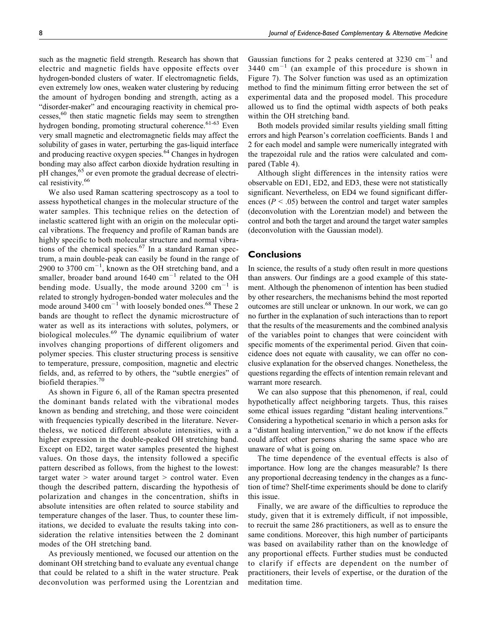such as the magnetic field strength. Research has shown that electric and magnetic fields have opposite effects over hydrogen-bonded clusters of water. If electromagnetic fields, even extremely low ones, weaken water clustering by reducing the amount of hydrogen bonding and strength, acting as a "disorder-maker" and encouraging reactivity in chemical pro $c$ esses,<sup>60</sup> then static magnetic fields may seem to strengthen hydrogen bonding, promoting structural coherence.<sup>61-63</sup> Even very small magnetic and electromagnetic fields may affect the solubility of gases in water, perturbing the gas-liquid interface and producing reactive oxygen species.<sup>64</sup> Changes in hydrogen bonding may also affect carbon dioxide hydration resulting in pH changes,<sup>65</sup> or even promote the gradual decrease of electrical resistivity.<sup>66</sup>

We also used Raman scattering spectroscopy as a tool to assess hypothetical changes in the molecular structure of the water samples. This technique relies on the detection of inelastic scattered light with an origin on the molecular optical vibrations. The frequency and profile of Raman bands are highly specific to both molecular structure and normal vibrations of the chemical species. $67$  In a standard Raman spectrum, a main double-peak can easily be found in the range of 2900 to 3700  $\text{cm}^{-1}$ , known as the OH stretching band, and a smaller, broader band around  $1640 \text{ cm}^{-1}$  related to the OH bending mode. Usually, the mode around  $3200 \text{ cm}^{-1}$  is related to strongly hydrogen-bonded water molecules and the mode around 3400  $\text{cm}^{-1}$  with loosely bonded ones.<sup>68</sup> These 2 bands are thought to reflect the dynamic microstructure of water as well as its interactions with solutes, polymers, or biological molecules.<sup>69</sup> The dynamic equilibrium of water involves changing proportions of different oligomers and polymer species. This cluster structuring process is sensitive to temperature, pressure, composition, magnetic and electric fields, and, as referred to by others, the "subtle energies" of biofield therapies. $70$ 

As shown in Figure 6, all of the Raman spectra presented the dominant bands related with the vibrational modes known as bending and stretching, and those were coincident with frequencies typically described in the literature. Nevertheless, we noticed different absolute intensities, with a higher expression in the double-peaked OH stretching band. Except on ED2, target water samples presented the highest values. On those days, the intensity followed a specific pattern described as follows, from the highest to the lowest: target water  $>$  water around target  $>$  control water. Even though the described pattern, discarding the hypothesis of polarization and changes in the concentration, shifts in absolute intensities are often related to source stability and temperature changes of the laser. Thus, to counter these limitations, we decided to evaluate the results taking into consideration the relative intensities between the 2 dominant modes of the OH stretching band.

As previously mentioned, we focused our attention on the dominant OH stretching band to evaluate any eventual change that could be related to a shift in the water structure. Peak deconvolution was performed using the Lorentzian and Gaussian functions for 2 peaks centered at 3230  $cm^{-1}$  and  $3440 \text{ cm}^{-1}$  (an example of this procedure is shown in Figure 7). The Solver function was used as an optimization method to find the minimum fitting error between the set of experimental data and the proposed model. This procedure allowed us to find the optimal width aspects of both peaks within the OH stretching band.

Both models provided similar results yielding small fitting errors and high Pearson's correlation coefficients. Bands 1 and 2 for each model and sample were numerically integrated with the trapezoidal rule and the ratios were calculated and compared (Table 4).

Although slight differences in the intensity ratios were observable on ED1, ED2, and ED3, these were not statistically significant. Nevertheless, on ED4 we found significant differences ( $P < .05$ ) between the control and target water samples (deconvolution with the Lorentzian model) and between the control and both the target and around the target water samples (deconvolution with the Gaussian model).

## **Conclusions**

In science, the results of a study often result in more questions than answers. Our findings are a good example of this statement. Although the phenomenon of intention has been studied by other researchers, the mechanisms behind the most reported outcomes are still unclear or unknown. In our work, we can go no further in the explanation of such interactions than to report that the results of the measurements and the combined analysis of the variables point to changes that were coincident with specific moments of the experimental period. Given that coincidence does not equate with causality, we can offer no conclusive explanation for the observed changes. Nonetheless, the questions regarding the effects of intention remain relevant and warrant more research.

We can also suppose that this phenomenon, if real, could hypothetically affect neighboring targets. Thus, this raises some ethical issues regarding "distant healing interventions." Considering a hypothetical scenario in which a person asks for a "distant healing intervention," we do not know if the effects could affect other persons sharing the same space who are unaware of what is going on.

The time dependence of the eventual effects is also of importance. How long are the changes measurable? Is there any proportional decreasing tendency in the changes as a function of time? Shelf-time experiments should be done to clarify this issue.

Finally, we are aware of the difficulties to reproduce the study, given that it is extremely difficult, if not impossible, to recruit the same 286 practitioners, as well as to ensure the same conditions. Moreover, this high number of participants was based on availability rather than on the knowledge of any proportional effects. Further studies must be conducted to clarify if effects are dependent on the number of practitioners, their levels of expertise, or the duration of the meditation time.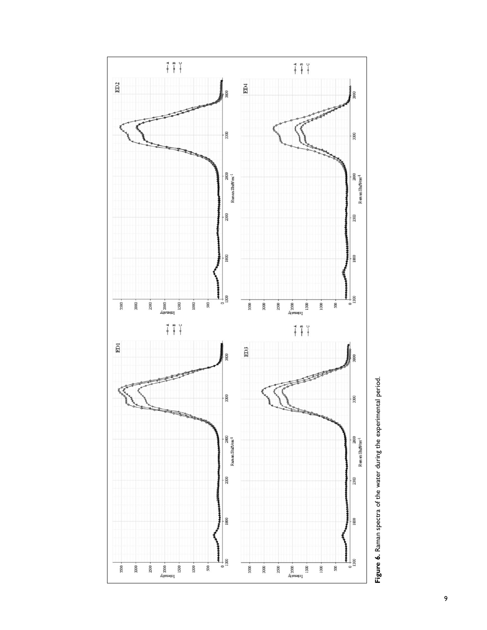

Figure 6. Raman spectra of the water during the experimental period. Figure 6. Raman spectra of the water during the experimental period.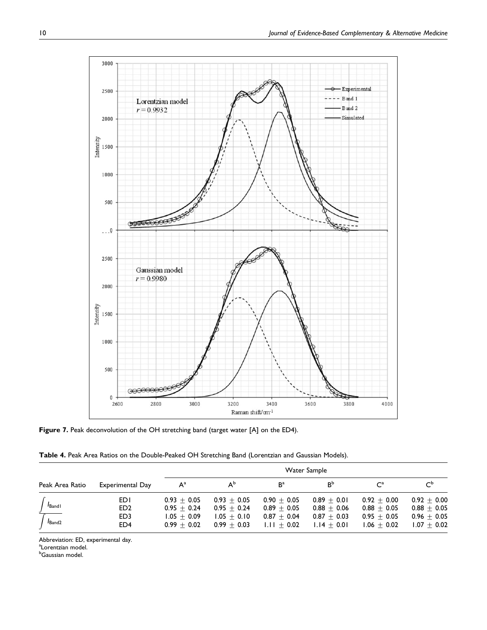

Figure 7. Peak deconvolution of the OH stretching band (target water [A] on the ED4).

| Table 4. Peak Area Ratios on the Double-Peaked OH Stretching Band (Lorentzian and Gaussian Models). |  |
|-----------------------------------------------------------------------------------------------------|--|
|-----------------------------------------------------------------------------------------------------|--|

| Peak Area Ratio                          | Experimental Day                                             | Water Sample                                                     |                                                                  |                                                                  |                                                                  |                                                                  |                                                                  |  |
|------------------------------------------|--------------------------------------------------------------|------------------------------------------------------------------|------------------------------------------------------------------|------------------------------------------------------------------|------------------------------------------------------------------|------------------------------------------------------------------|------------------------------------------------------------------|--|
|                                          |                                                              | $A^a$                                                            | А <sup>b</sup>                                                   | $B^a$                                                            | R <sup>b</sup>                                                   | $\mathcal{C}^{\rm a}$                                            | $C_{\rm p}$                                                      |  |
| I <sub>Band1</sub><br>I <sub>Band2</sub> | EDI<br>ED <sub>2</sub><br>ED <sub>3</sub><br>ED <sub>4</sub> | $0.93 + 0.05$<br>$0.95 + 0.24$<br>$1.05 + 0.09$<br>$0.99 + 0.02$ | $0.93 + 0.05$<br>$0.95 + 0.24$<br>$1.05 + 0.10$<br>$0.99 + 0.03$ | $0.90 + 0.05$<br>$0.89 + 0.05$<br>$0.87 + 0.04$<br>$1.11 + 0.02$ | $0.89 + 0.01$<br>$0.88 + 0.06$<br>$0.87 + 0.03$<br>$1.14 + 0.01$ | $0.92 + 0.00$<br>$0.88 + 0.05$<br>$0.95 + 0.05$<br>$1.06 + 0.02$ | $0.92 + 0.00$<br>$0.88 + 0.05$<br>$0.96 + 0.05$<br>$1.07 + 0.02$ |  |

Abbreviation: ED, experimental day. a Lorentzian model.

<sup>b</sup>Gaussian model.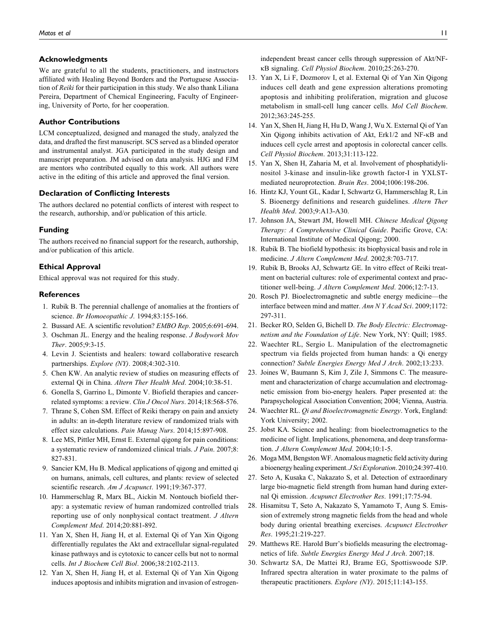#### Acknowledgments

We are grateful to all the students, practitioners, and instructors affiliated with Healing Beyond Borders and the Portuguese Association of Reiki for their participation in this study. We also thank Liliana Pereira, Department of Chemical Engineering, Faculty of Engineering, University of Porto, for her cooperation.

#### Author Contributions

LCM conceptualized, designed and managed the study, analyzed the data, and drafted the first manuscript. SCS served as a blinded operator and instrumental analyst. JGA participated in the study design and manuscript preparation. JM advised on data analysis. HJG and FJM are mentors who contributed equally to this work. All authors were active in the editing of this article and approved the final version.

#### Declaration of Conflicting Interests

The authors declared no potential conflicts of interest with respect to the research, authorship, and/or publication of this article.

#### Funding

The authors received no financial support for the research, authorship, and/or publication of this article.

## Ethical Approval

Ethical approval was not required for this study.

## **References**

- 1. Rubik B. The perennial challenge of anomalies at the frontiers of science. Br Homoeopathic J. 1994;83:155-166.
- 2. Bussard AE. A scientific revolution? EMBO Rep. 2005;6:691-694.
- 3. Oschman JL. Energy and the healing response. J Bodywork Mov Ther. 2005;9:3-15.
- 4. Levin J. Scientists and healers: toward collaborative research partnerships. Explore (NY). 2008;4:302-310.
- 5. Chen KW. An analytic review of studies on measuring effects of external Qi in China. Altern Ther Health Med. 2004;10:38-51.
- 6. Gonella S, Garrino L, Dimonte V. Biofield therapies and cancerrelated symptoms: a review. Clin J Oncol Nurs. 2014;18:568-576.
- 7. Thrane S, Cohen SM. Effect of Reiki therapy on pain and anxiety in adults: an in-depth literature review of randomized trials with effect size calculations. Pain Manag Nurs. 2014;15:897-908.
- 8. Lee MS, Pittler MH, Ernst E. External qigong for pain conditions: a systematic review of randomized clinical trials. J Pain. 2007;8: 827-831.
- 9. Sancier KM, Hu B. Medical applications of qigong and emitted qi on humans, animals, cell cultures, and plants: review of selected scientific research. Am J Acupunct. 1991;19:367-377.
- 10. Hammerschlag R, Marx BL, Aickin M. Nontouch biofield therapy: a systematic review of human randomized controlled trials reporting use of only nonphysical contact treatment. J Altern Complement Med. 2014;20:881-892.
- 11. Yan X, Shen H, Jiang H, et al. External Qi of Yan Xin Qigong differentially regulates the Akt and extracellular signal-regulated kinase pathways and is cytotoxic to cancer cells but not to normal cells. Int J Biochem Cell Biol. 2006;38:2102-2113.
- 12. Yan X, Shen H, Jiang H, et al. External Qi of Yan Xin Qigong induces apoptosis and inhibits migration and invasion of estrogen-

independent breast cancer cells through suppression of Akt/NFkB signaling. Cell Physiol Biochem. 2010;25:263-270.

- 13. Yan X, Li F, Dozmorov I, et al. External Qi of Yan Xin Qigong induces cell death and gene expression alterations promoting apoptosis and inhibiting proliferation, migration and glucose metabolism in small-cell lung cancer cells. Mol Cell Biochem. 2012;363:245-255.
- 14. Yan X, Shen H, Jiang H, Hu D, Wang J, Wu X. External Qi of Yan Xin Qigong inhibits activation of Akt, Erk1/2 and NF-kB and induces cell cycle arrest and apoptosis in colorectal cancer cells. Cell Physiol Biochem. 2013;31:113-122.
- 15. Yan X, Shen H, Zaharia M, et al. Involvement of phosphatidylinositol 3-kinase and insulin-like growth factor-I in YXLSTmediated neuroprotection. Brain Res. 2004;1006:198-206.
- 16. Hintz KJ, Yount GL, Kadar I, Schwartz G, Hammerschlag R, Lin S. Bioenergy definitions and research guidelines. Altern Ther Health Med. 2003;9:A13-A30.
- 17. Johnson JA, Stewart JM, Howell MH. Chinese Medical Qigong Therapy: A Comprehensive Clinical Guide. Pacific Grove, CA: International Institute of Medical Qigong; 2000.
- 18. Rubik B. The biofield hypothesis: its biophysical basis and role in medicine. J Altern Complement Med. 2002;8:703-717.
- 19. Rubik B, Brooks AJ, Schwartz GE. In vitro effect of Reiki treatment on bacterial cultures: role of experimental context and practitioner well-being. J Altern Complement Med. 2006;12:7-13.
- 20. Rosch PJ. Bioelectromagnetic and subtle energy medicine—the interface between mind and matter. Ann N Y Acad Sci. 2009;1172: 297-311.
- 21. Becker RO, Selden G, Bichell D. The Body Electric: Electromagnetism and the Foundation of Life. New York, NY: Quill; 1985.
- 22. Waechter RL, Sergio L. Manipulation of the electromagnetic spectrum via fields projected from human hands: a Qi energy connection? Subtle Energies Energy Med J Arch. 2002;13:233.
- 23. Joines W, Baumann S, Kim J, Zile J, Simmons C. The measurement and characterization of charge accumulation and electromagnetic emission from bio-energy healers. Paper presented at: the Parapsychological Association Convention; 2004; Vienna, Austria.
- 24. Waechter RL. Qi and Bioelectromagnetic Energy. York, England: York University; 2002.
- 25. Jobst KA. Science and healing: from bioelectromagnetics to the medicine of light. Implications, phenomena, and deep transformation. J Altern Complement Med. 2004;10:1-5.
- 26. Moga MM, Bengston WF. Anomalous magnetic field activity during a bioenergy healing experiment. J Sci Exploration. 2010;24:397-410.
- 27. Seto A, Kusaka C, Nakazato S, et al. Detection of extraordinary large bio-magnetic field strength from human hand during external Qi emission. Acupunct Electrother Res. 1991;17:75-94.
- 28. Hisamitsu T, Seto A, Nakazato S, Yamamoto T, Aung S. Emission of extremely strong magnetic fields from the head and whole body during oriental breathing exercises. Acupunct Electrother Res. 1995;21:219-227.
- 29. Matthews RE. Harold Burr's biofields measuring the electromagnetics of life. Subtle Energies Energy Med J Arch. 2007;18.
- 30. Schwartz SA, De Mattei RJ, Brame EG, Spottiswoode SJP. Infrared spectra alteration in water proximate to the palms of therapeutic practitioners. Explore (NY). 2015;11:143-155.